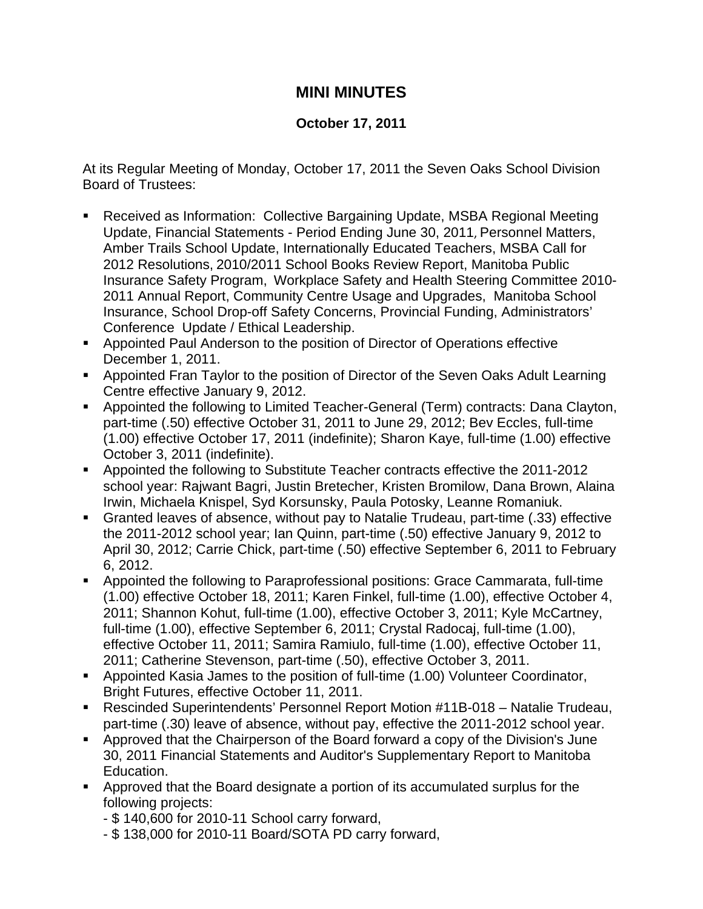## **MINI MINUTES**

## **October 17, 2011**

At its Regular Meeting of Monday, October 17, 2011 the Seven Oaks School Division Board of Trustees:

- Received as Information: Collective Bargaining Update, MSBA Regional Meeting Update, Financial Statements - Period Ending June 30, 2011, Personnel Matters, Amber Trails School Update, Internationally Educated Teachers, MSBA Call for 2012 Resolutions, 2010/2011 School Books Review Report, Manitoba Public Insurance Safety Program, Workplace Safety and Health Steering Committee 2010- 2011 Annual Report, Community Centre Usage and Upgrades, Manitoba School Insurance, School Drop-off Safety Concerns, Provincial Funding, Administrators' Conference Update / Ethical Leadership.
- Appointed Paul Anderson to the position of Director of Operations effective December 1, 2011.
- Appointed Fran Taylor to the position of Director of the Seven Oaks Adult Learning Centre effective January 9, 2012.
- Appointed the following to Limited Teacher-General (Term) contracts: Dana Clayton, part-time (.50) effective October 31, 2011 to June 29, 2012; Bev Eccles, full-time (1.00) effective October 17, 2011 (indefinite); Sharon Kaye, full-time (1.00) effective October 3, 2011 (indefinite).
- Appointed the following to Substitute Teacher contracts effective the 2011-2012 school year: Rajwant Bagri, Justin Bretecher, Kristen Bromilow, Dana Brown, Alaina Irwin, Michaela Knispel, Syd Korsunsky, Paula Potosky, Leanne Romaniuk.
- Granted leaves of absence, without pay to Natalie Trudeau, part-time (.33) effective the 2011-2012 school year; Ian Quinn, part-time (.50) effective January 9, 2012 to April 30, 2012; Carrie Chick, part-time (.50) effective September 6, 2011 to February 6, 2012.
- Appointed the following to Paraprofessional positions: Grace Cammarata, full-time (1.00) effective October 18, 2011; Karen Finkel, full-time (1.00), effective October 4, 2011; Shannon Kohut, full-time (1.00), effective October 3, 2011; Kyle McCartney, full-time (1.00), effective September 6, 2011; Crystal Radocaj, full-time (1.00), effective October 11, 2011; Samira Ramiulo, full-time (1.00), effective October 11, 2011; Catherine Stevenson, part-time (.50), effective October 3, 2011.
- Appointed Kasia James to the position of full-time (1.00) Volunteer Coordinator, Bright Futures, effective October 11, 2011.
- Rescinded Superintendents' Personnel Report Motion #11B-018 Natalie Trudeau, part-time (.30) leave of absence, without pay, effective the 2011-2012 school year.
- Approved that the Chairperson of the Board forward a copy of the Division's June 30, 2011 Financial Statements and Auditor's Supplementary Report to Manitoba Education.
- Approved that the Board designate a portion of its accumulated surplus for the following projects:
	- \$ 140,600 for 2010-11 School carry forward,
	- \$ 138,000 for 2010-11 Board/SOTA PD carry forward,